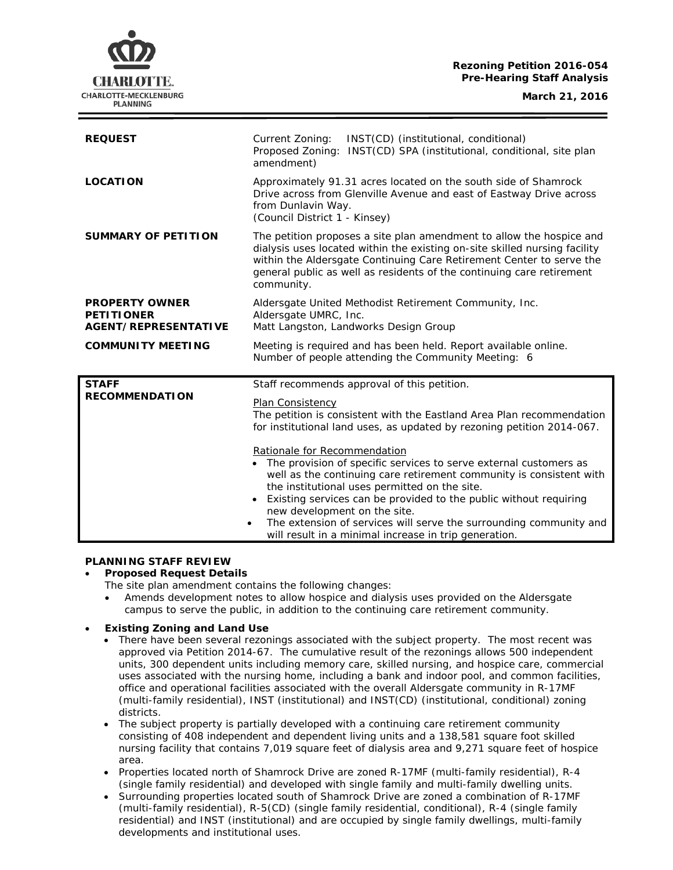### **Rezoning Petition 2016-054 Pre-Hearing Staff Analysis**

CHARLOTTE. CHARLOTTE-MECKLENBURG **PLANNING** 

| <b>REQUEST</b>                                                            | Current Zoning:<br>INST(CD) (institutional, conditional)<br>Proposed Zoning:<br>INST(CD) SPA (institutional, conditional, site plan<br>amendment)                                                                                                                                                                                                                                                       |
|---------------------------------------------------------------------------|---------------------------------------------------------------------------------------------------------------------------------------------------------------------------------------------------------------------------------------------------------------------------------------------------------------------------------------------------------------------------------------------------------|
| <b>LOCATION</b>                                                           | Approximately 91.31 acres located on the south side of Shamrock<br>Drive across from Glenville Avenue and east of Eastway Drive across<br>from Dunlavin Way.<br>(Council District 1 - Kinsey)                                                                                                                                                                                                           |
| <b>SUMMARY OF PETITION</b>                                                | The petition proposes a site plan amendment to allow the hospice and<br>dialysis uses located within the existing on-site skilled nursing facility<br>within the Aldersgate Continuing Care Retirement Center to serve the<br>general public as well as residents of the continuing care retirement<br>community.                                                                                       |
| <b>PROPERTY OWNER</b><br><b>PETITIONER</b><br><b>AGENT/REPRESENTATIVE</b> | Aldersgate United Methodist Retirement Community, Inc.<br>Aldersgate UMRC, Inc.<br>Matt Langston, Landworks Design Group                                                                                                                                                                                                                                                                                |
| <b>COMMUNITY MEETING</b>                                                  | Meeting is required and has been held. Report available online.<br>Number of people attending the Community Meeting: 6                                                                                                                                                                                                                                                                                  |
| <b>STAFF</b><br><b>RECOMMENDATION</b>                                     | Staff recommends approval of this petition.<br><b>Plan Consistency</b><br>The petition is consistent with the Eastland Area Plan recommendation<br>for institutional land uses, as updated by rezoning petition 2014-067.<br>Rationale for Recommendation<br>• The provision of specific services to serve external customers as<br>well as the continuing care retirement community is consistent with |
|                                                                           | the institutional uses permitted on the site.<br>Existing services can be provided to the public without requiring<br>$\bullet$<br>new development on the site.<br>The extension of services will serve the surrounding community and<br>will result in a minimal increase in trip generation.                                                                                                          |

# **PLANNING STAFF REVIEW**

#### • **Proposed Request Details**

The site plan amendment contains the following changes:

• Amends development notes to allow hospice and dialysis uses provided on the Aldersgate campus to serve the public, in addition to the continuing care retirement community.

# • **Existing Zoning and Land Use**

- There have been several rezonings associated with the subject property. The most recent was approved via Petition 2014-67. The cumulative result of the rezonings allows 500 independent units, 300 dependent units including memory care, skilled nursing, and hospice care, commercial uses associated with the nursing home, including a bank and indoor pool, and common facilities, office and operational facilities associated with the overall Aldersgate community in R-17MF (multi-family residential), INST (institutional) and INST(CD) (institutional, conditional) zoning districts.
- The subject property is partially developed with a continuing care retirement community consisting of 408 independent and dependent living units and a 138,581 square foot skilled nursing facility that contains 7,019 square feet of dialysis area and 9,271 square feet of hospice area.
- Properties located north of Shamrock Drive are zoned R-17MF (multi-family residential), R-4 (single family residential) and developed with single family and multi-family dwelling units.
- Surrounding properties located south of Shamrock Drive are zoned a combination of R-17MF (multi-family residential), R-5(CD) (single family residential, conditional), R-4 (single family residential) and INST (institutional) and are occupied by single family dwellings, multi-family developments and institutional uses.